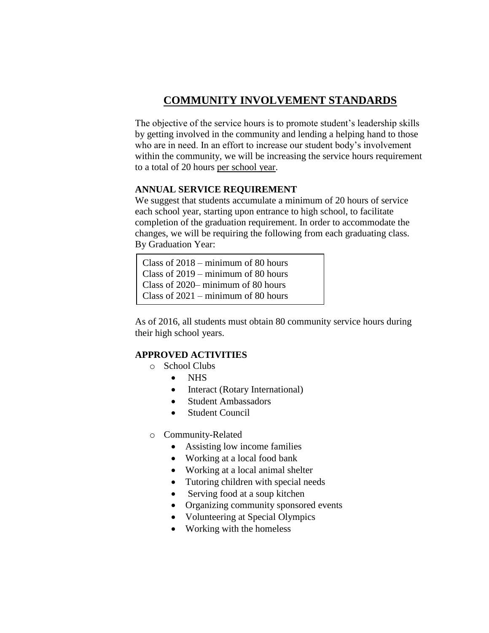# **COMMUNITY INVOLVEMENT STANDARDS**

The objective of the service hours is to promote student's leadership skills by getting involved in the community and lending a helping hand to those who are in need. In an effort to increase our student body's involvement within the community, we will be increasing the service hours requirement to a total of 20 hours per school year.

### **ANNUAL SERVICE REQUIREMENT**

We suggest that students accumulate a minimum of 20 hours of service each school year, starting upon entrance to high school, to facilitate completion of the graduation requirement. In order to accommodate the changes, we will be requiring the following from each graduating class. By Graduation Year:

Class of 2018 – minimum of 80 hours Class of 2019 – minimum of 80 hours Class of 2020– minimum of 80 hours Class of 2021 – minimum of 80 hours

As of 2016, all students must obtain 80 community service hours during their high school years.

## **APPROVED ACTIVITIES**

- o School Clubs
	- NHS
	- Interact (Rotary International)
	- Student Ambassadors
	- Student Council
- o Community-Related
	- Assisting low income families
	- Working at a local food bank
	- Working at a local animal shelter
	- Tutoring children with special needs
	- Serving food at a soup kitchen
	- Organizing community sponsored events
	- Volunteering at Special Olympics
	- Working with the homeless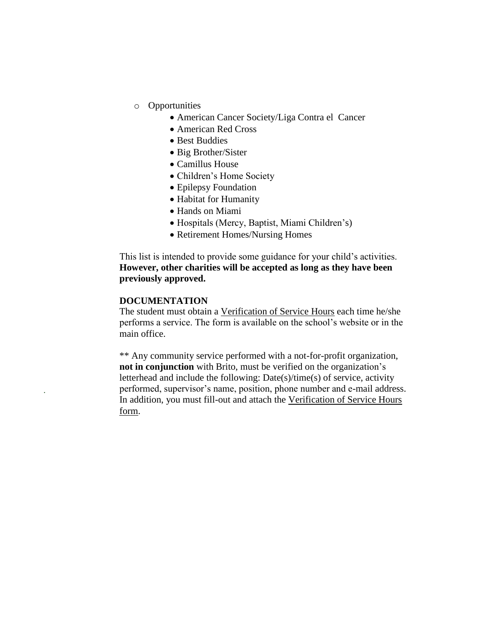- o Opportunities
	- American Cancer Society/Liga Contra el Cancer
	- American Red Cross
	- Best Buddies
	- Big Brother/Sister
	- Camillus House
	- Children's Home Society
	- Epilepsy Foundation
	- Habitat for Humanity
	- Hands on Miami
	- Hospitals (Mercy, Baptist, Miami Children's)
	- Retirement Homes/Nursing Homes

This list is intended to provide some guidance for your child's activities. **However, other charities will be accepted as long as they have been previously approved.**

#### **DOCUMENTATION**

.

The student must obtain a Verification of Service Hours each time he/she performs a service. The form is available on the school's website or in the main office.

\*\* Any community service performed with a not-for-profit organization, **not in conjunction** with Brito, must be verified on the organization's letterhead and include the following: Date(s)/time(s) of service, activity performed, supervisor's name, position, phone number and e-mail address. In addition, you must fill-out and attach the Verification of Service Hours form.